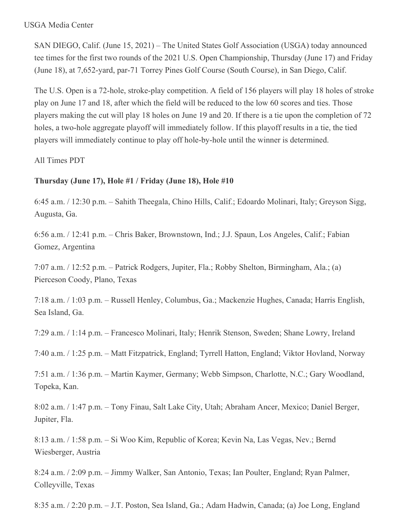#### USGA Media Center

SAN DIEGO, Calif. (June 15, 2021) – The United States Golf Association (USGA) today announced tee times for the first two rounds of the 2021 U.S. Open Championship, Thursday (June 17) and Friday (June 18), at 7,652-yard, par-71 Torrey Pines Golf Course (South Course), in San Diego, Calif.

The U.S. Open is a 72-hole, stroke-play competition. A field of 156 players will play 18 holes of stroke play on June 17 and 18, after which the field will be reduced to the low 60 scores and ties. Those players making the cut will play 18 holes on June 19 and 20. If there is a tie upon the completion of 72 holes, a two-hole aggregate playoff will immediately follow. If this playoff results in a tie, the tied players will immediately continue to play off hole-by-hole until the winner is determined.

All Times PDT

# **Thursday (June 17), Hole #1 / Friday (June 18), Hole #10**

6:45 a.m. / 12:30 p.m. – Sahith Theegala, Chino Hills, Calif.; Edoardo Molinari, Italy; Greyson Sigg, Augusta, Ga.

6:56 a.m. / 12:41 p.m. – Chris Baker, Brownstown, Ind.; J.J. Spaun, Los Angeles, Calif.; Fabian Gomez, Argentina

7:07 a.m. / 12:52 p.m. – Patrick Rodgers, Jupiter, Fla.; Robby Shelton, Birmingham, Ala.; (a) Pierceson Coody, Plano, Texas

7:18 a.m. / 1:03 p.m. – Russell Henley, Columbus, Ga.; Mackenzie Hughes, Canada; Harris English, Sea Island, Ga.

7:29 a.m. / 1:14 p.m. – Francesco Molinari, Italy; Henrik Stenson, Sweden; Shane Lowry, Ireland

7:40 a.m. / 1:25 p.m. – Matt Fitzpatrick, England; Tyrrell Hatton, England; Viktor Hovland, Norway

7:51 a.m. / 1:36 p.m. – Martin Kaymer, Germany; Webb Simpson, Charlotte, N.C.; Gary Woodland, Topeka, Kan.

8:02 a.m. / 1:47 p.m. – Tony Finau, Salt Lake City, Utah; Abraham Ancer, Mexico; Daniel Berger, Jupiter, Fla.

8:13 a.m. / 1:58 p.m. – Si Woo Kim, Republic of Korea; Kevin Na, Las Vegas, Nev.; Bernd Wiesberger, Austria

8:24 a.m. / 2:09 p.m. – Jimmy Walker, San Antonio, Texas; Ian Poulter, England; Ryan Palmer, Colleyville, Texas

8:35 a.m. / 2:20 p.m. – J.T. Poston, Sea Island, Ga.; Adam Hadwin, Canada; (a) Joe Long, England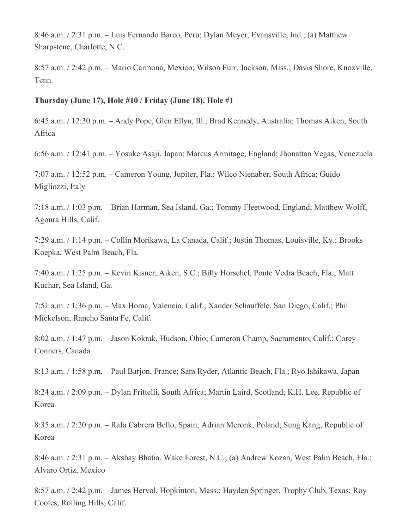8:46 a.m. / 2:31 p.m. – Luis Fernando Barco, Peru; Dylan Meyer, Evansville, Ind.; (a) Matthew Sharpstene, Charlotte, N.C.

8:57 a.m. / 2:42 p.m. – Mario Carmona, Mexico; Wilson Furr, Jackson, Miss.; Davis Shore, Knoxville, Tenn.

### **Thursday (June 17), Hole #10 / Friday (June 18), Hole #1**

6:45 a.m. / 12:30 p.m. – Andy Pope, Glen Ellyn, Ill.; Brad Kennedy, Australia; Thomas Aiken, South Africa

6:56 a.m. / 12:41 p.m. – Yosuke Asaji, Japan; Marcus Armitage, England; Jhonattan Vegas, Venezuela

7:07 a.m. / 12:52 p.m. – Cameron Young, Jupiter, Fla.; Wilco Nienaber, South Africa; Guido Migliozzi, Italy

7:18 a.m. / 1:03 p.m. – Brian Harman, Sea Island, Ga.; Tommy Fleetwood, England; Matthew Wolff, Agoura Hills, Calif.

7:29 a.m. / 1:14 p.m. – Collin Morikawa, La Canada, Calif.; Justin Thomas, Louisville, Ky.; Brooks Koepka, West Palm Beach, Fla.

7:40 a.m. / 1:25 p.m. – Kevin Kisner, Aiken, S.C.; Billy Horschel, Ponte Vedra Beach, Fla.; Matt Kuchar, Sea Island, Ga.

7:51 a.m. / 1:36 p.m. – Max Homa, Valencia, Calif.; Xander Schauffele, San Diego, Calif.; Phil Mickelson, Rancho Santa Fe, Calif.

8:02 a.m. / 1:47 p.m. – Jason Kokrak, Hudson, Ohio; Cameron Champ, Sacramento, Calif.; Corey Conners, Canada

8:13 a.m. / 1:58 p.m. – Paul Barjon, France; Sam Ryder, Atlantic Beach, Fla.; Ryo Ishikawa, Japan

8:24 a.m. / 2:09 p.m. – Dylan Frittelli, South Africa; Martin Laird, Scotland; K.H. Lee, Republic of Korea

8:35 a.m. / 2:20 p.m. – Rafa Cabrera Bello, Spain; Adrian Meronk, Poland; Sung Kang, Republic of Korea

8:46 a.m. / 2:31 p.m. – Akshay Bhatia, Wake Forest, N.C.; (a) Andrew Kozan, West Palm Beach, Fla.; Alvaro Ortiz, Mexico

8:57 a.m. / 2:42 p.m. – James Hervol, Hopkinton, Mass.; Hayden Springer, Trophy Club, Texas; Roy Cootes, Rolling Hills, Calif.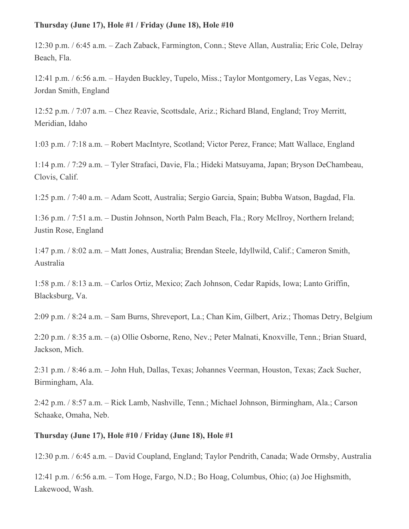### **Thursday (June 17), Hole #1 / Friday (June 18), Hole #10**

12:30 p.m. / 6:45 a.m. – Zach Zaback, Farmington, Conn.; Steve Allan, Australia; Eric Cole, Delray Beach, Fla.

12:41 p.m. / 6:56 a.m. – Hayden Buckley, Tupelo, Miss.; Taylor Montgomery, Las Vegas, Nev.; Jordan Smith, England

12:52 p.m. / 7:07 a.m. – Chez Reavie, Scottsdale, Ariz.; Richard Bland, England; Troy Merritt, Meridian, Idaho

1:03 p.m. / 7:18 a.m. – Robert MacIntyre, Scotland; Victor Perez, France; Matt Wallace, England

1:14 p.m. / 7:29 a.m. – Tyler Strafaci, Davie, Fla.; Hideki Matsuyama, Japan; Bryson DeChambeau, Clovis, Calif.

1:25 p.m. / 7:40 a.m. – Adam Scott, Australia; Sergio Garcia, Spain; Bubba Watson, Bagdad, Fla.

1:36 p.m. / 7:51 a.m. – Dustin Johnson, North Palm Beach, Fla.; Rory McIlroy, Northern Ireland; Justin Rose, England

1:47 p.m. / 8:02 a.m. – Matt Jones, Australia; Brendan Steele, Idyllwild, Calif.; Cameron Smith, Australia

1:58 p.m. / 8:13 a.m. – Carlos Ortiz, Mexico; Zach Johnson, Cedar Rapids, Iowa; Lanto Griffin, Blacksburg, Va.

2:09 p.m. / 8:24 a.m. – Sam Burns, Shreveport, La.; Chan Kim, Gilbert, Ariz.; Thomas Detry, Belgium

2:20 p.m. / 8:35 a.m. – (a) Ollie Osborne, Reno, Nev.; Peter Malnati, Knoxville, Tenn.; Brian Stuard, Jackson, Mich.

2:31 p.m. / 8:46 a.m. – John Huh, Dallas, Texas; Johannes Veerman, Houston, Texas; Zack Sucher, Birmingham, Ala.

2:42 p.m. / 8:57 a.m. – Rick Lamb, Nashville, Tenn.; Michael Johnson, Birmingham, Ala.; Carson Schaake, Omaha, Neb.

# **Thursday (June 17), Hole #10 / Friday (June 18), Hole #1**

12:30 p.m. / 6:45 a.m. – David Coupland, England; Taylor Pendrith, Canada; Wade Ormsby, Australia

12:41 p.m. / 6:56 a.m. – Tom Hoge, Fargo, N.D.; Bo Hoag, Columbus, Ohio; (a) Joe Highsmith, Lakewood, Wash.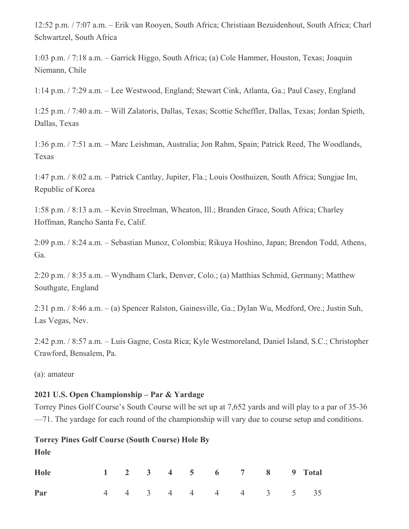12:52 p.m. / 7:07 a.m. – Erik van Rooyen, South Africa; Christiaan Bezuidenhout, South Africa; Charl Schwartzel, South Africa

1:03 p.m. / 7:18 a.m. – Garrick Higgo, South Africa; (a) Cole Hammer, Houston, Texas; Joaquin Niemann, Chile

1:14 p.m. / 7:29 a.m. – Lee Westwood, England; Stewart Cink, Atlanta, Ga.; Paul Casey, England

1:25 p.m. / 7:40 a.m. – Will Zalatoris, Dallas, Texas; Scottie Scheffler, Dallas, Texas; Jordan Spieth, Dallas, Texas

1:36 p.m. / 7:51 a.m. – Marc Leishman, Australia; Jon Rahm, Spain; Patrick Reed, The Woodlands, Texas

1:47 p.m. / 8:02 a.m. – Patrick Cantlay, Jupiter, Fla.; Louis Oosthuizen, South Africa; Sungjae Im, Republic of Korea

1:58 p.m. / 8:13 a.m. – Kevin Streelman, Wheaton, Ill.; Branden Grace, South Africa; Charley Hoffman, Rancho Santa Fe, Calif.

2:09 p.m. / 8:24 a.m. – Sebastian Munoz, Colombia; Rikuya Hoshino, Japan; Brendon Todd, Athens, Ga.

2:20 p.m. / 8:35 a.m. – Wyndham Clark, Denver, Colo.; (a) Matthias Schmid, Germany; Matthew Southgate, England

2:31 p.m. / 8:46 a.m. – (a) Spencer Ralston, Gainesville, Ga.; Dylan Wu, Medford, Ore.; Justin Suh, Las Vegas, Nev.

2:42 p.m. / 8:57 a.m. – Luis Gagne, Costa Rica; Kyle Westmoreland, Daniel Island, S.C.; Christopher Crawford, Bensalem, Pa.

(a): amateur

### **2021 U.S. Open Championship – Par & Yardage**

Torrey Pines Golf Course's South Course will be set up at 7,652 yards and will play to a par of 35-36 —71. The yardage for each round of the championship will vary due to course setup and conditions.

#### **Torrey Pines Golf Course (South Course) Hole By**

**Hole**

| Hole |  |  |  | 1 2 3 4 5 6 7 8 9 Total |  |
|------|--|--|--|-------------------------|--|
| Par  |  |  |  | 4 4 3 4 4 4 4 3 5 35    |  |